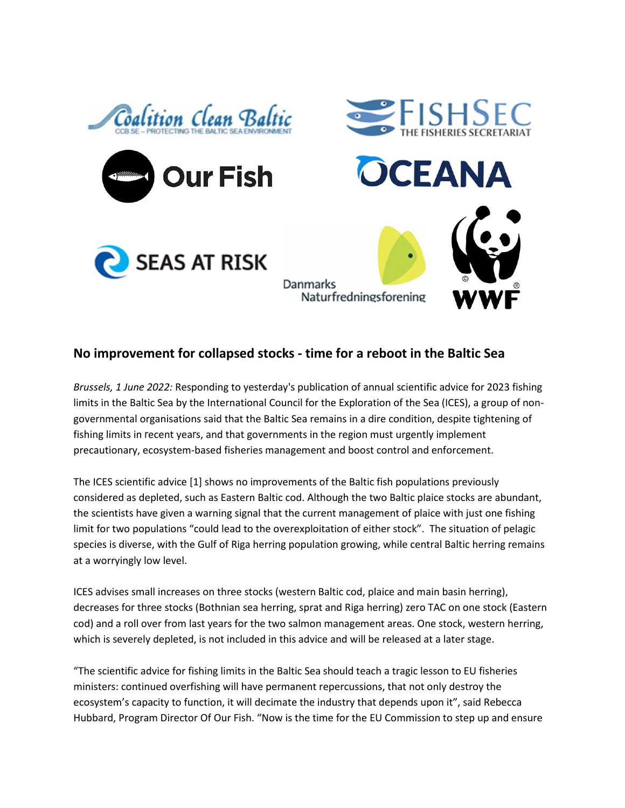

## **No improvement for collapsed stocks - time for a reboot in the Baltic Sea**

*Brussels, 1 June 2022:* Responding to yesterday's publication of annual scientific advice for 2023 fishing limits in the Baltic Sea by the International Council for the Exploration of the Sea (ICES), a group of nongovernmental organisations said that the Baltic Sea remains in a dire condition, despite tightening of fishing limits in recent years, and that governments in the region must urgently implement precautionary, ecosystem-based fisheries management and boost control and enforcement.

The ICES scientific advice [1] shows no improvements of the Baltic fish populations previously considered as depleted, such as Eastern Baltic cod. Although the two Baltic plaice stocks are abundant, the scientists have given a warning signal that the current management of plaice with just one fishing limit for two populations "could lead to the overexploitation of either stock". The situation of pelagic species is diverse, with the Gulf of Riga herring population growing, while central Baltic herring remains at a worryingly low level.

ICES advises small increases on three stocks (western Baltic cod, plaice and main basin herring), decreases for three stocks (Bothnian sea herring, sprat and Riga herring) zero TAC on one stock (Eastern cod) and a roll over from last years for the two salmon management areas. One stock, western herring, which is severely depleted, is not included in this advice and will be released at a later stage.

"The scientific advice for fishing limits in the Baltic Sea should teach a tragic lesson to EU fisheries ministers: continued overfishing will have permanent repercussions, that not only destroy the ecosystem's capacity to function, it will decimate the industry that depends upon it", said Rebecca Hubbard, Program Director Of Our Fish. "Now is the time for the EU Commission to step up and ensure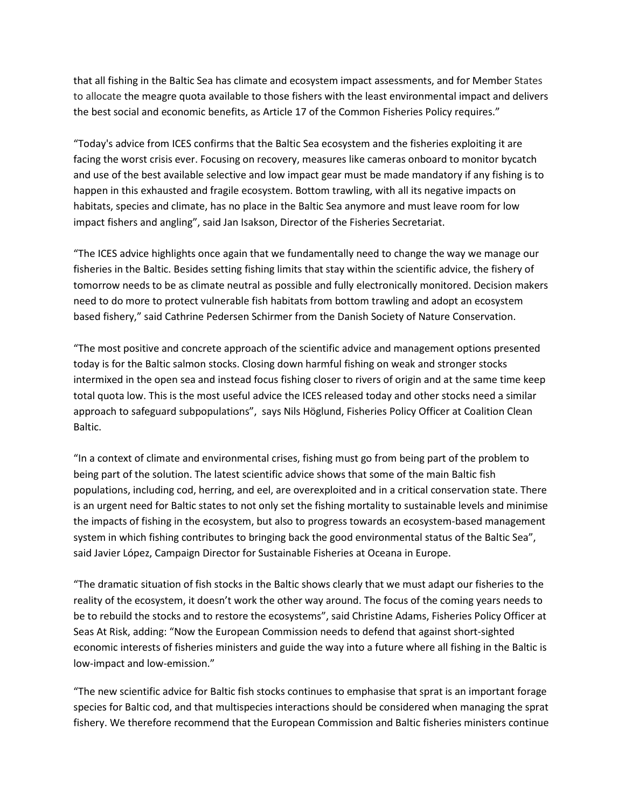that all fishing in the Baltic Sea has climate and ecosystem impact assessments, and for Member States to allocate the meagre quota available to those fishers with the least environmental impact and delivers the best social and economic benefits, as Article 17 of the Common Fisheries Policy requires."

"Today's advice from ICES confirms that the Baltic Sea ecosystem and the fisheries exploiting it are facing the worst crisis ever. Focusing on recovery, measures like cameras onboard to monitor bycatch and use of the best available selective and low impact gear must be made mandatory if any fishing is to happen in this exhausted and fragile ecosystem. Bottom trawling, with all its negative impacts on habitats, species and climate, has no place in the Baltic Sea anymore and must leave room for low impact fishers and angling", said Jan Isakson, Director of the Fisheries Secretariat.

"The ICES advice highlights once again that we fundamentally need to change the way we manage our fisheries in the Baltic. Besides setting fishing limits that stay within the scientific advice, the fishery of tomorrow needs to be as climate neutral as possible and fully electronically monitored. Decision makers need to do more to protect vulnerable fish habitats from bottom trawling and adopt an ecosystem based fishery," said Cathrine Pedersen Schirmer from the Danish Society of Nature Conservation.

"The most positive and concrete approach of the scientific advice and management options presented today is for the Baltic salmon stocks. Closing down harmful fishing on weak and stronger stocks intermixed in the open sea and instead focus fishing closer to rivers of origin and at the same time keep total quota low. This is the most useful advice the ICES released today and other stocks need a similar approach to safeguard subpopulations", says Nils Höglund, Fisheries Policy Officer at Coalition Clean Baltic.

"In a context of climate and environmental crises, fishing must go from being part of the problem to being part of the solution. The latest scientific advice shows that some of the main Baltic fish populations, including cod, herring, and eel, are overexploited and in a critical conservation state. There is an urgent need for Baltic states to not only set the fishing mortality to sustainable levels and minimise the impacts of fishing in the ecosystem, but also to progress towards an ecosystem-based management system in which fishing contributes to bringing back the good environmental status of the Baltic Sea", said Javier López, Campaign Director for Sustainable Fisheries at Oceana in Europe.

"The dramatic situation of fish stocks in the Baltic shows clearly that we must adapt our fisheries to the reality of the ecosystem, it doesn't work the other way around. The focus of the coming years needs to be to rebuild the stocks and to restore the ecosystems", said Christine Adams, Fisheries Policy Officer at Seas At Risk, adding: "Now the European Commission needs to defend that against short-sighted economic interests of fisheries ministers and guide the way into a future where all fishing in the Baltic is low-impact and low-emission."

"The new scientific advice for Baltic fish stocks continues to emphasise that sprat is an important forage species for Baltic cod, and that multispecies interactions should be considered when managing the sprat fishery. We therefore recommend that the European Commission and Baltic fisheries ministers continue